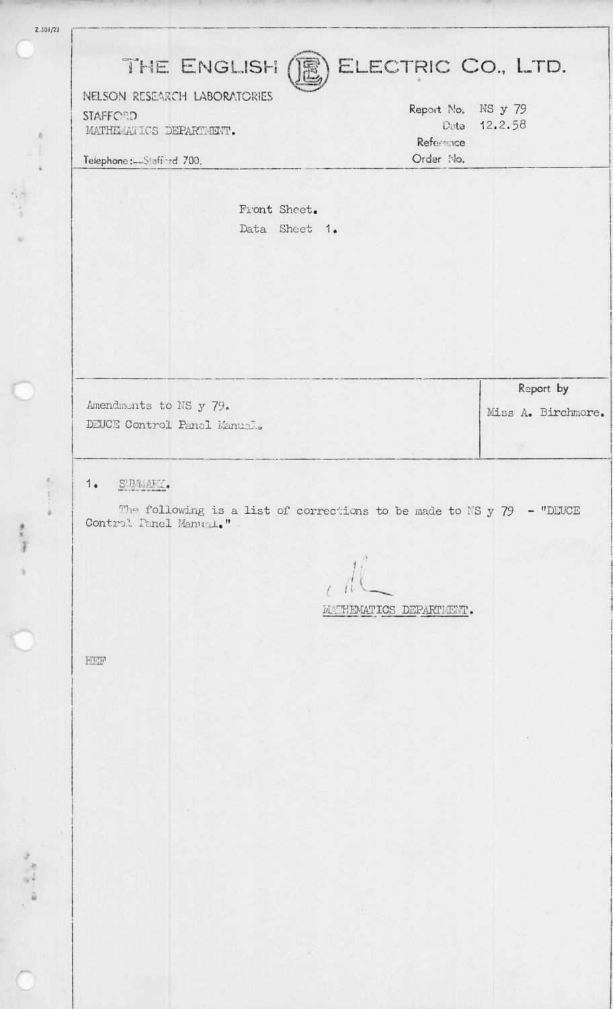| 1.501/22 |                                                                                                    |                              |  |                    |                    |
|----------|----------------------------------------------------------------------------------------------------|------------------------------|--|--------------------|--------------------|
|          |                                                                                                    |                              |  |                    |                    |
|          | ELECTRIC CO., LTD.<br>THE ENGLISH ()                                                               |                              |  |                    |                    |
|          |                                                                                                    | NELSON RESEARCH LABORATORIES |  | Report No. NS y 79 |                    |
|          | <b>STAFFORD</b><br>MATHEMATICS DEPARTMENT.                                                         |                              |  | Date 12.2.58       |                    |
|          |                                                                                                    |                              |  | Referance          |                    |
|          | Telephone:--Stafford 700.                                                                          |                              |  | Order No.          |                    |
|          |                                                                                                    |                              |  |                    |                    |
|          | Front Sheet.                                                                                       |                              |  |                    |                    |
|          | Data Sheet 1.                                                                                      |                              |  |                    |                    |
|          |                                                                                                    |                              |  |                    |                    |
|          |                                                                                                    |                              |  |                    |                    |
|          |                                                                                                    |                              |  |                    |                    |
|          |                                                                                                    |                              |  |                    |                    |
|          |                                                                                                    |                              |  |                    |                    |
|          |                                                                                                    |                              |  |                    |                    |
|          |                                                                                                    |                              |  |                    | Report by          |
|          | Amendments to NS y 79.                                                                             |                              |  |                    | Miss A. Birchmore. |
|          |                                                                                                    | DEUCE Control Panel Manual.  |  |                    |                    |
|          |                                                                                                    |                              |  |                    |                    |
|          |                                                                                                    |                              |  |                    |                    |
|          | 1.<br>SUMMARY.                                                                                     |                              |  |                    |                    |
|          | The following is a list of corrections to be made to NS $y$ 79 - "DEUCE<br>Control. Panel Manual." |                              |  |                    |                    |
|          |                                                                                                    |                              |  |                    |                    |
|          |                                                                                                    |                              |  |                    |                    |
|          |                                                                                                    |                              |  |                    |                    |
|          |                                                                                                    |                              |  |                    |                    |
|          | MATHEMATICS DEPARTMENT.                                                                            |                              |  |                    |                    |
|          |                                                                                                    |                              |  |                    |                    |
|          | HEF                                                                                                |                              |  |                    |                    |
|          |                                                                                                    |                              |  |                    |                    |
|          |                                                                                                    |                              |  |                    |                    |